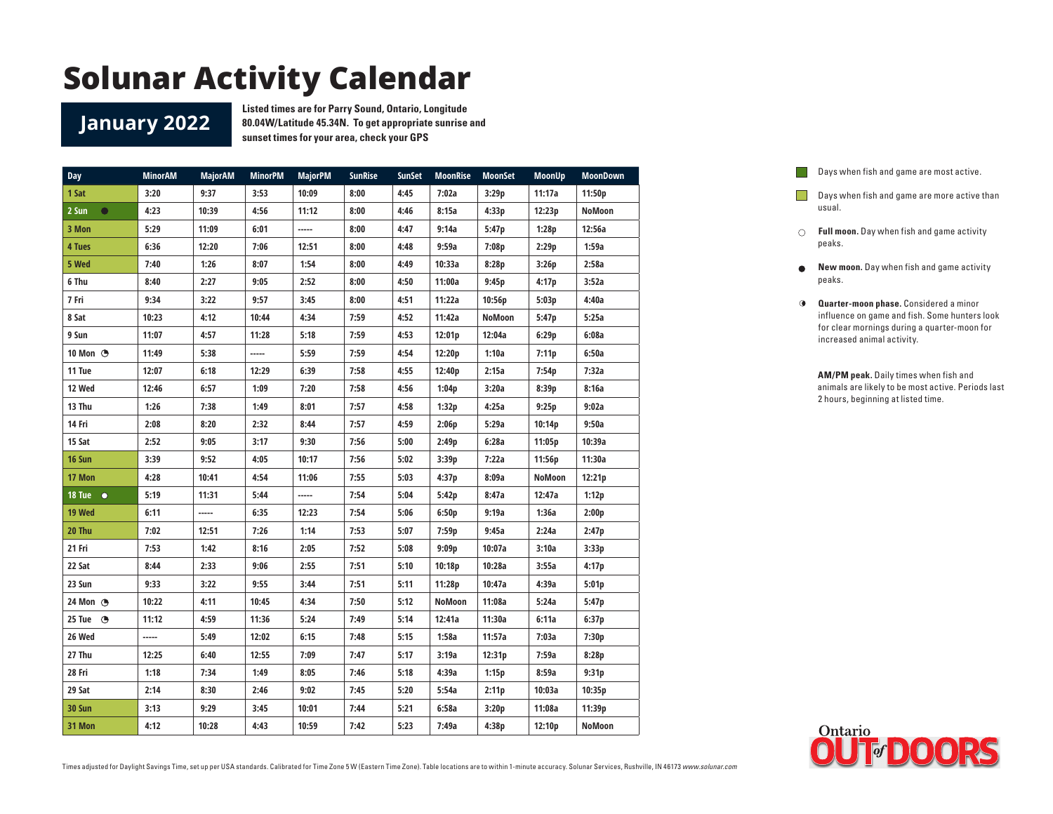#### **January 2022**

**Listed times are for Parry Sound, Ontario, Longitude 80.04W/Latitude 45.34N. To get appropriate sunrise and sunset times for your area, check your GPS**

| <b>Day</b>         | <b>MinorAM</b> | <b>MajorAM</b> | <b>MinorPM</b> | <b>MajorPM</b> | <b>SunRise</b> | <b>SunSet</b> | <b>MoonRise</b> | <b>MoonSet</b> | <b>MoonUp</b> | <b>MoonDown</b> |
|--------------------|----------------|----------------|----------------|----------------|----------------|---------------|-----------------|----------------|---------------|-----------------|
| 1 Sat              | 3:20           | 9:37           | 3:53           | 10:09          | 8:00           | 4:45          | 7:02a           | 3:29p          | 11:17a        | 11:50p          |
| 2 Sun<br>$\bullet$ | 4:23           | 10:39          | 4:56           | 11:12          | 8:00           | 4:46          | 8:15a           | 4:33p          | 12:23p        | NoMoon          |
| 3 Mon              | 5:29           | 11:09          | 6:01           | -----          | 8:00           | 4:47          | 9:14a           | 5:47p          | 1:28p         | 12:56a          |
| 4 Tues             | 6:36           | 12:20          | 7:06           | 12:51          | 8:00           | 4:48          | 9:59a           | 7:08p          | 2:29p         | 1:59a           |
| 5 Wed              | 7:40           | 1:26           | 8:07           | 1:54           | 8:00           | 4:49          | 10:33a          | 8:28p          | 3:26p         | 2:58a           |
| 6 Thu              | 8:40           | 2:27           | 9:05           | 2:52           | 8:00           | 4:50          | 11:00a          | 9:45p          | 4:17p         | 3:52a           |
| 7 Fri              | 9:34           | 3:22           | 9:57           | 3:45           | 8:00           | 4:51          | 11:22a          | 10:56p         | 5:03p         | 4:40a           |
| 8 Sat              | 10:23          | 4:12           | 10:44          | 4:34           | 7:59           | 4:52          | 11:42a          | NoMoon         | 5:47p         | 5:25a           |
| 9 Sun              | 11:07          | 4:57           | 11:28          | 5:18           | 7:59           | 4:53          | 12:01p          | 12:04a         | 6:29p         | 6:08a           |
| 10 Mon $\odot$     | 11:49          | 5:38           | -----          | 5:59           | 7:59           | 4:54          | 12:20p          | 1:10a          | 7:11p         | 6:50a           |
| 11 Tue             | 12:07          | 6:18           | 12:29          | 6:39           | 7:58           | 4:55          | 12:40p          | 2:15a          | 7:54p         | 7:32a           |
| 12 Wed             | 12:46          | 6:57           | 1:09           | 7:20           | 7:58           | 4:56          | 1:04p           | 3:20a          | 8:39p         | 8:16a           |
| 13 Thu             | 1:26           | 7:38           | 1:49           | 8:01           | 7:57           | 4:58          | 1:32p           | 4:25a          | 9:25p         | 9:02a           |
| 14 Fri             | 2:08           | 8:20           | 2:32           | 8:44           | 7:57           | 4:59          | 2:06p           | 5:29a          | 10:14p        | 9:50a           |
| 15 Sat             | 2:52           | 9:05           | 3:17           | 9:30           | 7:56           | 5:00          | 2:49p           | 6:28a          | 11:05p        | 10:39a          |
| 16 Sun             | 3:39           | 9:52           | 4:05           | 10:17          | 7:56           | 5:02          | 3:39p           | 7:22a          | 11:56p        | 11:30a          |
| 17 Mon             | 4:28           | 10:41          | 4:54           | 11:06          | 7:55           | 5:03          | 4:37p           | 8:09a          | NoMoon        | 12:21p          |
| 18 Tue $\bullet$   | 5:19           | 11:31          | 5:44           | -----          | 7:54           | 5:04          | 5:42p           | 8:47a          | 12:47a        | 1:12p           |
| 19 Wed             | 6:11           | -----          | 6:35           | 12:23          | 7:54           | 5:06          | 6:50p           | 9:19a          | 1:36a         | 2:00p           |
| 20 Thu             | 7:02           | 12:51          | 7:26           | 1:14           | 7:53           | 5:07          | 7:59p           | 9:45a          | 2:24a         | 2:47p           |
| 21 Fri             | 7:53           | 1:42           | 8:16           | 2:05           | 7:52           | 5:08          | 9:09p           | 10:07a         | 3:10a         | 3:33p           |
| 22 Sat             | 8:44           | 2:33           | 9:06           | 2:55           | 7:51           | 5:10          | 10:18p          | 10:28a         | 3:55a         | 4:17p           |
| 23 Sun             | 9:33           | 3:22           | 9:55           | 3:44           | 7:51           | 5:11          | 11:28p          | 10:47a         | 4:39a         | 5:01p           |
| 24 Mon (B)         | 10:22          | 4:11           | 10:45          | 4:34           | 7:50           | 5:12          | <b>NoMoon</b>   | 11:08a         | 5:24a         | 5:47p           |
| 25 Tue $\bigcirc$  | 11:12          | 4:59           | 11:36          | 5:24           | 7:49           | 5:14          | 12:41a          | 11:30a         | 6:11a         | 6:37p           |
| 26 Wed             | -----          | 5:49           | 12:02          | 6:15           | 7:48           | 5:15          | 1:58a           | 11:57a         | 7:03a         | 7:30p           |
| 27 Thu             | 12:25          | 6:40           | 12:55          | 7:09           | 7:47           | 5:17          | 3:19a           | 12:31p         | 7:59a         | 8:28p           |
| 28 Fri             | 1:18           | 7:34           | 1:49           | 8:05           | 7:46           | 5:18          | 4:39a           | 1:15p          | 8:59a         | 9:31p           |
| 29 Sat             | 2:14           | 8:30           | 2:46           | 9:02           | 7:45           | 5:20          | 5:54a           | 2:11p          | 10:03a        | 10:35p          |
| <b>30 Sun</b>      | 3:13           | 9:29           | 3:45           | 10:01          | 7:44           | 5:21          | 6:58a           | 3:20p          | 11:08a        | 11:39p          |
| 31 Mon             | 4:12           | 10:28          | 4:43           | 10:59          | 7:42           | 5:23          | 7:49a           | 4:38p          | 12:10p        | NoMoon          |



- Days when fish and game are more active than usual.
- **Full moon.** Day when fish and game activity peaks.
- **New moon.** Day when fish and game activity peaks.
- **Quarter-moon phase.** Considered a minor influence on game and fish. Some hunters look for clear mornings during a quarter-moon for increased animal activity.

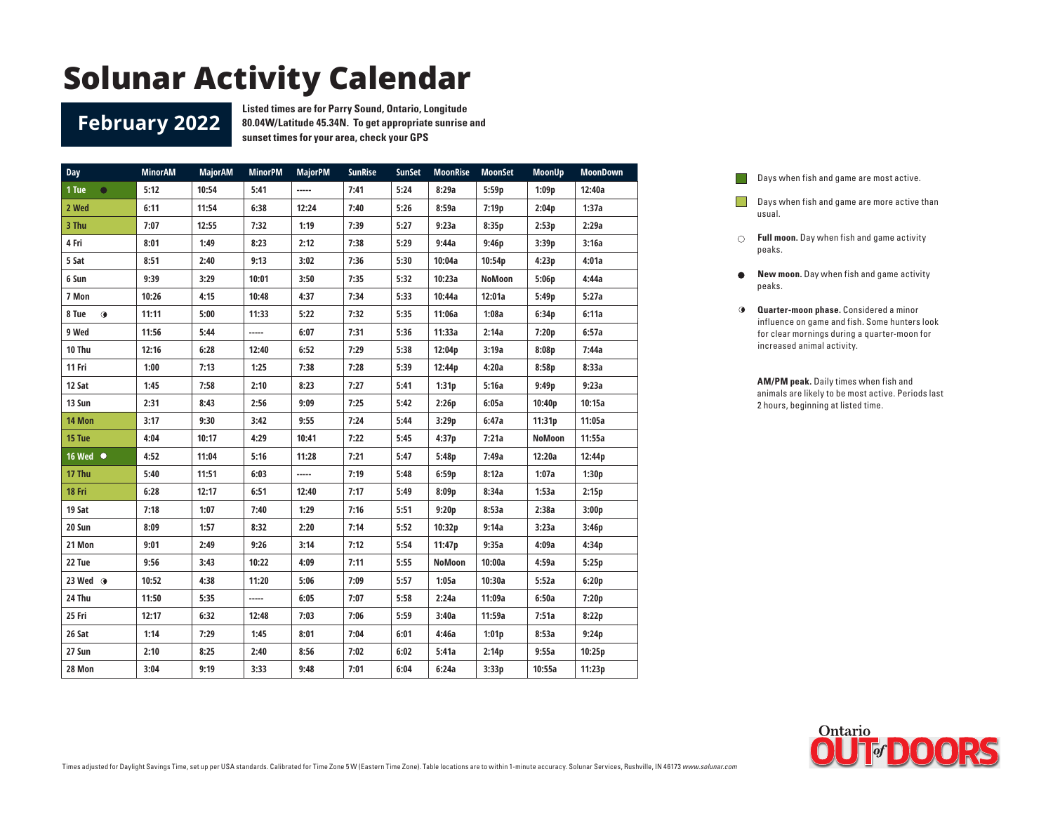#### **February 2022**

**Listed times are for Parry Sound, Ontario, Longitude 80.04W/Latitude 45.34N. To get appropriate sunrise and sunset times for your area, check your GPS**

| Day                | <b>MinorAM</b> | <b>MajorAM</b> | <b>MinorPM</b> | <b>MajorPM</b> | <b>SunRise</b> | <b>SunSet</b> | <b>MoonRise</b> | <b>MoonSet</b> | MoonUp | <b>MoonDown</b> |
|--------------------|----------------|----------------|----------------|----------------|----------------|---------------|-----------------|----------------|--------|-----------------|
| 1 Tue<br>$\bullet$ | 5:12           | 10:54          | 5:41           | -----          | 7:41           | 5:24          | 8:29a           | 5:59p          | 1:09p  | 12:40a          |
| 2 Wed              | 6:11           | 11:54          | 6:38           | 12:24          | 7:40           | 5:26          | 8:59a           | 7:19p          | 2:04p  | 1:37a           |
| 3 Thu              | 7:07           | 12:55          | 7:32           | 1:19           | 7:39           | 5:27          | 9:23a           | 8:35p          | 2:53p  | 2:29a           |
| 4 Fri              | 8:01           | 1:49           | 8:23           | 2:12           | 7:38           | 5:29          | 9:44a           | 9:46p          | 3:39p  | 3:16a           |
| 5 Sat              | 8:51           | 2:40           | 9:13           | 3:02           | 7:36           | 5:30          | 10:04a          | 10:54p         | 4:23p  | 4:01a           |
| 6 Sun              | 9:39           | 3:29           | 10:01          | 3:50           | 7:35           | 5:32          | 10:23a          | NoMoon         | 5:06p  | 4:44a           |
| 7 Mon              | 10:26          | 4:15           | 10:48          | 4:37           | 7:34           | 5:33          | 10:44a          | 12:01a         | 5:49p  | 5:27a           |
| $\bullet$<br>8 Tue | 11:11          | 5:00           | 11:33          | 5:22           | 7:32           | 5:35          | 11:06a          | 1:08a          | 6:34p  | 6:11a           |
| 9 Wed              | 11:56          | 5:44           | -----          | 6:07           | 7:31           | 5:36          | 11:33a          | 2:14a          | 7:20p  | 6:57a           |
| 10 Thu             | 12:16          | 6:28           | 12:40          | 6:52           | 7:29           | 5:38          | 12:04p          | 3:19a          | 8:08p  | 7:44a           |
| 11 Fri             | 1:00           | 7:13           | 1:25           | 7:38           | 7:28           | 5:39          | 12:44p          | 4:20a          | 8:58p  | 8:33a           |
| 12 Sat             | 1:45           | 7:58           | 2:10           | 8:23           | 7:27           | 5:41          | 1:31p           | 5:16a          | 9:49p  | 9:23a           |
| 13 Sun             | 2:31           | 8:43           | 2:56           | 9:09           | 7:25           | 5:42          | 2:26p           | 6:05a          | 10:40p | 10:15a          |
| 14 Mon             | 3:17           | 9:30           | 3:42           | 9:55           | 7:24           | 5:44          | 3:29p           | 6:47a          | 11:31p | 11:05a          |
| 15 Tue             | 4:04           | 10:17          | 4:29           | 10:41          | 7:22           | 5:45          | 4:37p           | 7:21a          | NoMoon | 11:55a          |
| 16 Wed ●           | 4:52           | 11:04          | 5:16           | 11:28          | 7:21           | 5:47          | 5:48p           | 7:49a          | 12:20a | 12:44p          |
| 17 Thu             | 5:40           | 11:51          | 6:03           | -----          | 7:19           | 5:48          | 6:59p           | 8:12a          | 1:07a  | 1:30p           |
| 18 Fri             | 6:28           | 12:17          | 6:51           | 12:40          | 7:17           | 5:49          | 8:09p           | 8:34a          | 1:53a  | 2:15p           |
| 19 Sat             | 7:18           | 1:07           | 7:40           | 1:29           | 7:16           | 5:51          | 9:20p           | 8:53a          | 2:38a  | 3:00p           |
| 20 Sun             | 8:09           | 1:57           | 8:32           | 2:20           | 7:14           | 5:52          | 10:32p          | 9:14a          | 3:23a  | 3:46p           |
| 21 Mon             | 9:01           | 2:49           | 9:26           | 3:14           | 7:12           | 5:54          | 11:47p          | 9:35a          | 4:09a  | 4:34p           |
| 22 Tue             | 9:56           | 3:43           | 10:22          | 4:09           | 7:11           | 5:55          | NoMoon          | 10:00a         | 4:59a  | 5:25p           |
| 23 Wed $\odot$     | 10:52          | 4:38           | 11:20          | 5:06           | 7:09           | 5:57          | 1:05a           | 10:30a         | 5:52a  | 6:20p           |
| 24 Thu             | 11:50          | 5:35           | -----          | 6:05           | 7:07           | 5:58          | 2:24a           | 11:09a         | 6:50a  | 7:20p           |
| 25 Fri             | 12:17          | 6:32           | 12:48          | 7:03           | 7:06           | 5:59          | 3:40a           | 11:59a         | 7:51a  | 8:22p           |
| 26 Sat             | 1:14           | 7:29           | 1:45           | 8:01           | 7:04           | 6:01          | 4:46a           | 1:01p          | 8:53a  | 9:24p           |
| 27 Sun             | 2:10           | 8:25           | 2:40           | 8:56           | 7:02           | 6:02          | 5:41a           | 2:14p          | 9:55a  | 10:25p          |
| 28 Mon             | 3:04           | 9:19           | 3:33           | 9:48           | 7:01           | 6:04          | 6:24a           | 3:33p          | 10:55a | 11:23p          |

- $\mathbb{R}^n$ Days when fish and game are more active than usual.
- **Full moon.** Day when fish and game activity peaks.
- $\bullet$ **New moon.** Day when fish and game activity peaks.
- **Quarter-moon phase.** Considered a minor influence on game and fish. Some hunters look for clear mornings during a quarter-moon for increased animal activity.

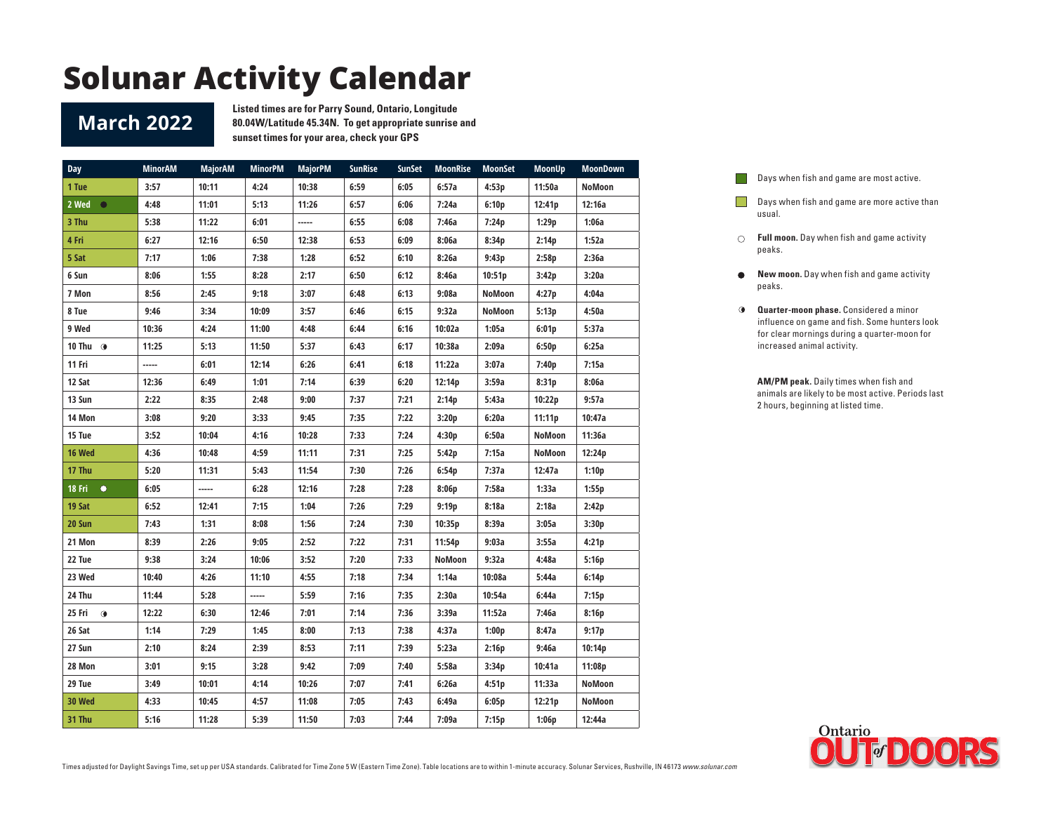#### **March 2022**

**Listed times are for Parry Sound, Ontario, Longitude 80.04W/Latitude 45.34N. To get appropriate sunrise and sunset times for your area, check your GPS**

| <b>Day</b>          | <b>MinorAM</b> | <b>MajorAM</b> | <b>MinorPM</b> | <b>MajorPM</b> | <b>SunRise</b> | <b>SunSet</b> | <b>MoonRise</b> | <b>MoonSet</b> | <b>MoonUp</b> | <b>MoonDown</b> |
|---------------------|----------------|----------------|----------------|----------------|----------------|---------------|-----------------|----------------|---------------|-----------------|
| 1 Tue               | 3:57           | 10:11          | 4:24           | 10:38          | 6:59           | 6:05          | 6:57a           | 4:53p          | 11:50a        | NoMoon          |
| 2 Wed<br>$\bullet$  | 4:48           | 11:01          | 5:13           | 11:26          | 6:57           | 6:06          | 7:24a           | 6:10p          | 12:41p        | 12:16a          |
| 3 Thu               | 5:38           | 11:22          | 6:01           | -----          | 6:55           | 6:08          | 7:46a           | 7:24p          | 1:29p         | 1:06a           |
| 4 Fri               | 6:27           | 12:16          | 6:50           | 12:38          | 6:53           | 6:09          | 8:06a           | 8:34p          | 2:14p         | 1:52a           |
| 5 Sat               | 7:17           | 1:06           | 7:38           | 1:28           | 6:52           | 6:10          | 8:26a           | 9:43p          | 2:58p         | 2:36a           |
| 6 Sun               | 8:06           | 1:55           | 8:28           | 2:17           | 6:50           | 6:12          | 8:46a           | 10:51p         | 3:42p         | 3:20a           |
| 7 Mon               | 8:56           | 2:45           | 9:18           | 3:07           | 6:48           | 6:13          | 9:08a           | NoMoon         | 4:27p         | 4:04a           |
| 8 Tue               | 9:46           | 3:34           | 10:09          | 3:57           | 6:46           | 6:15          | 9:32a           | NoMoon         | 5:13p         | 4:50a           |
| 9 Wed               | 10:36          | 4:24           | 11:00          | 4:48           | 6:44           | 6:16          | 10:02a          | 1:05a          | 6:01p         | 5:37a           |
| 10 Thu $\odot$      | 11:25          | 5:13           | 11:50          | 5:37           | 6:43           | 6:17          | 10:38a          | 2:09a          | 6:50p         | 6:25a           |
| 11 Fri              | -----          | 6:01           | 12:14          | 6:26           | 6:41           | 6:18          | 11:22a          | 3:07a          | 7:40p         | 7:15a           |
| 12 Sat              | 12:36          | 6:49           | 1:01           | 7:14           | 6:39           | 6:20          | 12:14p          | 3:59a          | 8:31p         | 8:06a           |
| 13 Sun              | 2:22           | 8:35           | 2:48           | 9:00           | 7:37           | 7:21          | 2:14p           | 5:43a          | 10:22p        | 9:57a           |
| 14 Mon              | 3:08           | 9:20           | 3:33           | 9:45           | 7:35           | 7:22          | 3:20p           | 6:20a          | 11:11p        | 10:47a          |
| 15 Tue              | 3:52           | 10:04          | 4:16           | 10:28          | 7:33           | 7:24          | 4:30p           | 6:50a          | <b>NoMoon</b> | 11:36a          |
| 16 Wed              | 4:36           | 10:48          | 4:59           | 11:11          | 7:31           | 7:25          | 5:42p           | 7:15a          | NoMoon        | 12:24p          |
| 17 Thu              | 5:20           | 11:31          | 5:43           | 11:54          | 7:30           | 7:26          | 6:54p           | 7:37a          | 12:47a        | 1:10p           |
| 18 Fri<br>$\bullet$ | 6:05           | -----          | 6:28           | 12:16          | 7:28           | 7:28          | 8:06p           | 7:58a          | 1:33a         | 1:55p           |
| 19 Sat              | 6:52           | 12:41          | 7:15           | 1:04           | 7:26           | 7:29          | 9:19p           | 8:18a          | 2:18a         | 2:42p           |
| 20 Sun              | 7:43           | 1:31           | 8:08           | 1:56           | 7:24           | 7:30          | 10:35p          | 8:39a          | 3:05a         | 3:30p           |
| 21 Mon              | 8:39           | 2:26           | 9:05           | 2:52           | 7:22           | 7:31          | 11:54p          | 9:03a          | 3:55a         | 4:21p           |
| 22 Tue              | 9:38           | 3:24           | 10:06          | 3:52           | 7:20           | 7:33          | NoMoon          | 9:32a          | 4:48a         | 5:16p           |
| 23 Wed              | 10:40          | 4:26           | 11:10          | 4:55           | 7:18           | 7:34          | 1:14a           | 10:08a         | 5:44a         | 6:14p           |
| 24 Thu              | 11:44          | 5:28           | -----          | 5:59           | 7:16           | 7:35          | 2:30a           | 10:54a         | 6:44a         | 7:15p           |
| 25 Fri<br>$\bullet$ | 12:22          | 6:30           | 12:46          | 7:01           | 7:14           | 7:36          | 3:39a           | 11:52a         | 7:46a         | 8:16p           |
| 26 Sat              | 1:14           | 7:29           | 1:45           | 8:00           | 7:13           | 7:38          | 4:37a           | 1:00p          | 8:47a         | 9:17p           |
| 27 Sun              | 2:10           | 8:24           | 2:39           | 8:53           | 7:11           | 7:39          | 5:23a           | 2:16p          | 9:46a         | 10:14p          |
| 28 Mon              | 3:01           | 9:15           | 3:28           | 9:42           | 7:09           | 7:40          | 5:58a           | 3:34p          | 10:41a        | 11:08p          |
| 29 Tue              | 3:49           | 10:01          | 4:14           | 10:26          | 7:07           | 7:41          | 6:26a           | 4:51p          | 11:33a        | NoMoon          |
| 30 Wed              | 4:33           | 10:45          | 4:57           | 11:08          | 7:05           | 7:43          | 6:49a           | 6:05p          | 12:21p        | NoMoon          |
| 31 Thu              | 5:16           | 11:28          | 5:39           | 11:50          | 7:03           | 7:44          | 7:09a           | 7:15p          | 1:06p         | 12:44a          |

Days when fish and game are most active.  $\Box$ 

- **Days when fish and game are more active than** usual.
- **Full moon.** Day when fish and game activity peaks.
- **New moon.** Day when fish and game activity  $\bullet$ peaks.
- **Quarter-moon phase.** Considered a minor influence on game and fish. Some hunters look for clear mornings during a quarter-moon for increased animal activity.

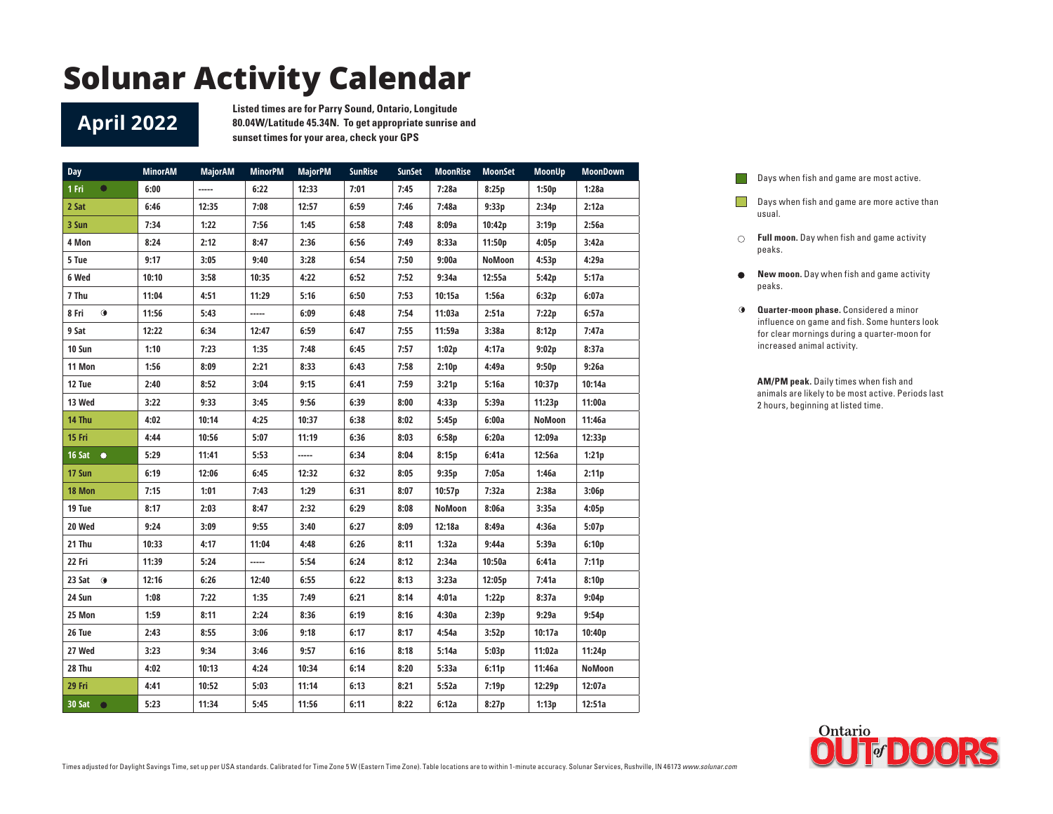#### **April 2022**

**Listed times are for Parry Sound, Ontario, Longitude 80.04W/Latitude 45.34N. To get appropriate sunrise and sunset times for your area, check your GPS**

| <b>Day</b>         | <b>MinorAM</b> | <b>MajorAM</b> | <b>MinorPM</b> | <b>MajorPM</b> | <b>SunRise</b> | <b>SunSet</b> | <b>MoonRise</b> | <b>MoonSet</b> | <b>MoonUp</b> | <b>MoonDown</b> |
|--------------------|----------------|----------------|----------------|----------------|----------------|---------------|-----------------|----------------|---------------|-----------------|
| $\bullet$<br>1 Fri | 6:00           | -----          | 6:22           | 12:33          | 7:01           | 7:45          | 7:28a           | 8:25p          | 1:50p         | 1:28a           |
| 2 Sat              | 6:46           | 12:35          | 7:08           | 12:57          | 6:59           | 7:46          | 7:48a           | 9:33p          | 2:34p         | 2:12a           |
| 3 Sun              | 7:34           | 1:22           | 7:56           | 1:45           | 6:58           | 7:48          | 8:09a           | 10:42p         | 3:19p         | 2:56a           |
| 4 Mon              | 8:24           | 2:12           | 8:47           | 2:36           | 6:56           | 7:49          | 8:33a           | 11:50p         | 4:05p         | 3:42a           |
| 5 Tue              | 9:17           | 3:05           | 9:40           | 3:28           | 6:54           | 7:50          | 9:00a           | NoMoon         | 4:53p         | 4:29a           |
| 6 Wed              | 10:10          | 3:58           | 10:35          | 4:22           | 6:52           | 7:52          | 9:34a           | 12:55a         | 5:42p         | 5:17a           |
| 7 Thu              | 11:04          | 4:51           | 11:29          | 5:16           | 6:50           | 7:53          | 10:15a          | 1:56a          | 6:32p         | 6:07a           |
| $\bullet$<br>8 Fri | 11:56          | 5:43           | -----          | 6:09           | 6:48           | 7:54          | 11:03a          | 2:51a          | 7:22p         | 6:57a           |
| 9 Sat              | 12:22          | 6:34           | 12:47          | 6:59           | 6:47           | 7:55          | 11:59a          | 3:38a          | 8:12p         | 7:47a           |
| 10 Sun             | 1:10           | 7:23           | 1:35           | 7:48           | 6:45           | 7:57          | 1:02p           | 4:17a          | 9:02p         | 8:37a           |
| 11 Mon             | 1:56           | 8:09           | 2:21           | 8:33           | 6:43           | 7:58          | 2:10p           | 4:49a          | 9:50p         | 9:26a           |
| 12 Tue             | 2:40           | 8:52           | 3:04           | 9:15           | 6:41           | 7:59          | 3:21p           | 5:16a          | 10:37p        | 10:14a          |
| 13 Wed             | 3:22           | 9:33           | 3:45           | 9:56           | 6:39           | 8:00          | 4:33p           | 5:39a          | 11:23p        | 11:00a          |
| 14 Thu             | 4:02           | 10:14          | 4:25           | 10:37          | 6:38           | 8:02          | 5:45p           | 6:00a          | NoMoon        | 11:46a          |
| 15 Fri             | 4:44           | 10:56          | 5:07           | 11:19          | 6:36           | 8:03          | 6:58p           | 6:20a          | 12:09a        | 12:33p          |
| 16 Sat $\bullet$   | 5:29           | 11:41          | 5:53           | -----          | 6:34           | 8:04          | 8:15p           | 6:41a          | 12:56a        | 1:21p           |
| 17 Sun             | 6:19           | 12:06          | 6:45           | 12:32          | 6:32           | 8:05          | 9:35p           | 7:05a          | 1:46a         | 2:11p           |
| 18 Mon             | 7:15           | 1:01           | 7:43           | 1:29           | 6:31           | 8:07          | 10:57p          | 7:32a          | 2:38a         | 3:06p           |
| 19 Tue             | 8:17           | 2:03           | 8:47           | 2:32           | 6:29           | 8:08          | NoMoon          | 8:06a          | 3:35a         | 4:05p           |
| 20 Wed             | 9:24           | 3:09           | 9:55           | 3:40           | 6:27           | 8:09          | 12:18a          | 8:49a          | 4:36a         | 5:07p           |
| 21 Thu             | 10:33          | 4:17           | 11:04          | 4:48           | 6:26           | 8:11          | 1:32a           | 9:44a          | 5:39a         | 6:10p           |
| 22 Fri             | 11:39          | 5:24           | -----          | 5:54           | 6:24           | 8:12          | 2:34a           | 10:50a         | 6:41a         | 7:11p           |
| 23 Sat $\odot$     | 12:16          | 6:26           | 12:40          | 6:55           | 6:22           | 8:13          | 3:23a           | 12:05p         | 7:41a         | 8:10p           |
| 24 Sun             | 1:08           | 7:22           | 1:35           | 7:49           | 6:21           | 8:14          | 4:01a           | 1:22p          | 8:37a         | 9:04p           |
| 25 Mon             | 1:59           | 8:11           | 2:24           | 8:36           | 6:19           | 8:16          | 4:30a           | 2:39p          | 9:29a         | 9:54p           |
| 26 Tue             | 2:43           | 8:55           | 3:06           | 9:18           | 6:17           | 8:17          | 4:54a           | 3:52p          | 10:17a        | 10:40p          |
| 27 Wed             | 3:23           | 9:34           | 3:46           | 9:57           | 6:16           | 8:18          | 5:14a           | 5:03p          | 11:02a        | 11:24p          |
| 28 Thu             | 4:02           | 10:13          | 4:24           | 10:34          | 6:14           | 8:20          | 5:33a           | 6:11p          | 11:46a        | NoMoon          |
| 29 Fri             | 4:41           | 10:52          | 5:03           | 11:14          | 6:13           | 8:21          | 5:52a           | 7:19p          | 12:29p        | 12:07a          |
| 30 Sat $\bullet$   | 5:23           | 11:34          | 5:45           | 11:56          | 6:11           | 8:22          | 6:12a           | 8:27p          | 1:13p         | 12:51a          |

| Days when fish and game are most active. |  |  |  |
|------------------------------------------|--|--|--|
|                                          |  |  |  |

**I** 

- **Days when fish and game are more active than** usual.
- **Full moon.** Day when fish and game activity peaks.
- $\bullet$ **New moon.** Day when fish and game activity peaks.
- **Quarter-moon phase.** Considered a minor influence on game and fish. Some hunters look for clear mornings during a quarter-moon for increased animal activity.

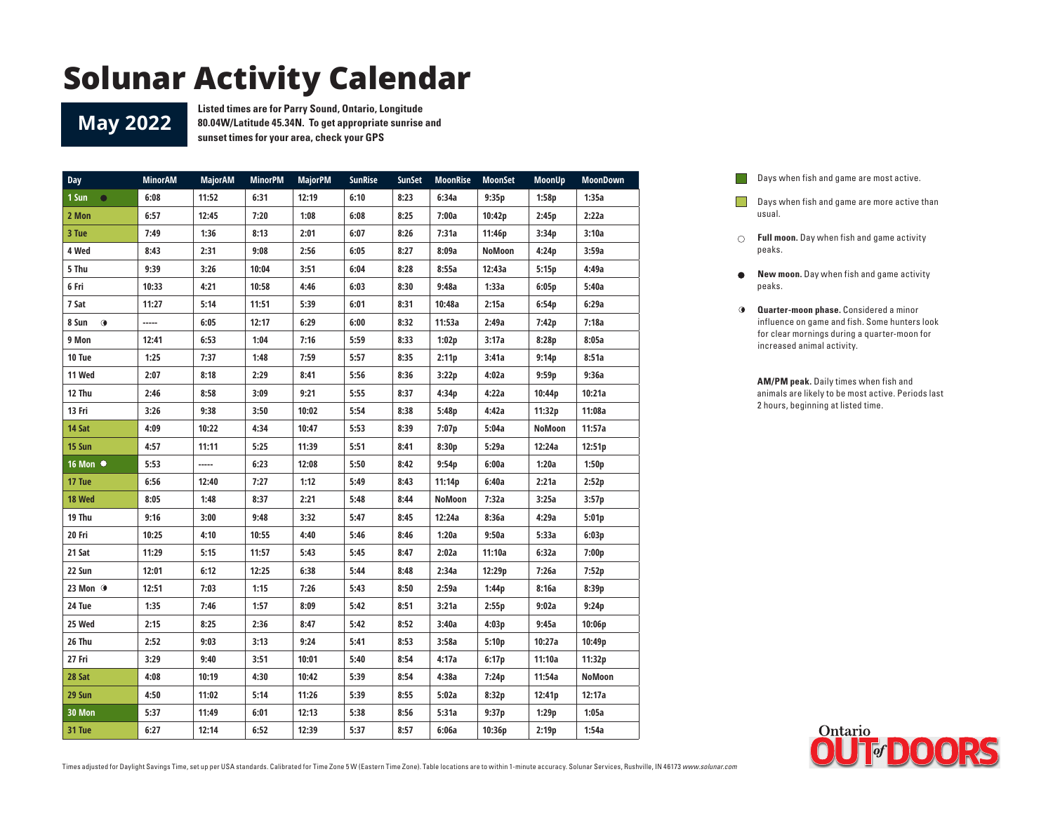#### **May 2022**

**Listed times are for Parry Sound, Ontario, Longitude 80.04W/Latitude 45.34N. To get appropriate sunrise and sunset times for your area, check your GPS**

| <b>Day</b>         | <b>MinorAM</b> | <b>MajorAM</b> | <b>MinorPM</b> | <b>MajorPM</b> | <b>SunRise</b> | <b>SunSet</b> | <b>MoonRise</b> | <b>MoonSet</b> | <b>MoonUp</b> | <b>MoonDown</b> |
|--------------------|----------------|----------------|----------------|----------------|----------------|---------------|-----------------|----------------|---------------|-----------------|
| 1 Sun<br>$\bullet$ | 6:08           | 11:52          | 6:31           | 12:19          | 6:10           | 8:23          | 6:34a           | 9:35p          | 1:58p         | 1:35a           |
| 2 Mon              | 6:57           | 12:45          | 7:20           | 1:08           | 6:08           | 8:25          | 7:00a           | 10:42p         | 2:45p         | 2:22a           |
| 3 Tue              | 7:49           | 1:36           | 8:13           | 2:01           | 6:07           | 8:26          | 7:31a           | 11:46p         | 3:34p         | 3:10a           |
| 4 Wed              | 8:43           | 2:31           | 9:08           | 2:56           | 6:05           | 8:27          | 8:09a           | <b>NoMoon</b>  | 4:24p         | 3:59a           |
| 5 Thu              | 9:39           | 3:26           | 10:04          | 3:51           | 6:04           | 8:28          | 8:55a           | 12:43a         | 5:15p         | 4:49a           |
| 6 Fri              | 10:33          | 4:21           | 10:58          | 4:46           | 6:03           | 8:30          | 9:48a           | 1:33a          | 6:05p         | 5:40a           |
| 7 Sat              | 11:27          | 5:14           | 11:51          | 5:39           | 6:01           | 8:31          | 10:48a          | 2:15a          | 6:54p         | 6:29a           |
| 8 Sun<br>$\bullet$ | -----          | 6:05           | 12:17          | 6:29           | 6:00           | 8:32          | 11:53a          | 2:49a          | 7:42p         | 7:18a           |
| 9 Mon              | 12:41          | 6:53           | 1:04           | 7:16           | 5:59           | 8:33          | 1:02p           | 3:17a          | 8:28p         | 8:05a           |
| 10 Tue             | 1:25           | 7:37           | 1:48           | 7:59           | 5:57           | 8:35          | 2:11p           | 3:41a          | 9:14p         | 8:51a           |
| 11 Wed             | 2:07           | 8:18           | 2:29           | 8:41           | 5:56           | 8:36          | 3:22p           | 4:02a          | 9:59p         | 9:36a           |
| 12 Thu             | 2:46           | 8:58           | 3:09           | 9:21           | 5:55           | 8:37          | 4:34p           | 4:22a          | 10:44p        | 10:21a          |
| 13 Fri             | 3:26           | 9:38           | 3:50           | 10:02          | 5:54           | 8:38          | 5:48p           | 4:42a          | 11:32p        | 11:08a          |
| 14 Sat             | 4:09           | 10:22          | 4:34           | 10:47          | 5:53           | 8:39          | 7:07p           | 5:04a          | NoMoon        | 11:57a          |
| 15 Sun             | 4:57           | 11:11          | 5:25           | 11:39          | 5:51           | 8:41          | 8:30p           | 5:29a          | 12:24a        | 12:51p          |
| 16 Mon ●           | 5:53           | -----          | 6:23           | 12:08          | 5:50           | 8:42          | 9:54p           | 6:00a          | 1:20a         | 1:50p           |
| 17 Tue             | 6:56           | 12:40          | 7:27           | 1:12           | 5:49           | 8:43          | 11:14p          | 6:40a          | 2:21a         | 2:52p           |
| 18 Wed             | 8:05           | 1:48           | 8:37           | 2:21           | 5:48           | 8:44          | NoMoon          | 7:32a          | 3:25a         | 3:57p           |
| 19 Thu             | 9:16           | 3:00           | 9:48           | 3:32           | 5:47           | 8:45          | 12:24a          | 8:36a          | 4:29a         | 5:01p           |
| 20 Fri             | 10:25          | 4:10           | 10:55          | 4:40           | 5:46           | 8:46          | 1:20a           | 9:50a          | 5:33a         | 6:03p           |
| 21 Sat             | 11:29          | 5:15           | 11:57          | 5:43           | 5:45           | 8:47          | 2:02a           | 11:10a         | 6:32a         | 7:00p           |
| 22 Sun             | 12:01          | 6:12           | 12:25          | 6:38           | 5:44           | 8:48          | 2:34a           | 12:29p         | 7:26a         | 7:52p           |
| 23 Mon <b>O</b>    | 12:51          | 7:03           | 1:15           | 7:26           | 5:43           | 8:50          | 2:59a           | 1:44p          | 8:16a         | 8:39p           |
| 24 Tue             | 1:35           | 7:46           | 1:57           | 8:09           | 5:42           | 8:51          | 3:21a           | 2:55p          | 9:02a         | 9:24p           |
| 25 Wed             | 2:15           | 8:25           | 2:36           | 8:47           | 5:42           | 8:52          | 3:40a           | 4:03p          | 9:45a         | 10:06p          |
| 26 Thu             | 2:52           | 9:03           | 3:13           | 9:24           | 5:41           | 8:53          | 3:58a           | 5:10p          | 10:27a        | 10:49p          |
| 27 Fri             | 3:29           | 9:40           | 3:51           | 10:01          | 5:40           | 8:54          | 4:17a           | 6:17p          | 11:10a        | 11:32p          |
| 28 Sat             | 4:08           | 10:19          | 4:30           | 10:42          | 5:39           | 8:54          | 4:38a           | 7:24p          | 11:54a        | NoMoon          |
| 29 Sun             | 4:50           | 11:02          | 5:14           | 11:26          | 5:39           | 8:55          | 5:02a           | 8:32p          | 12:41p        | 12:17a          |
| 30 Mon             | 5:37           | 11:49          | 6:01           | 12:13          | 5:38           | 8:56          | 5:31a           | 9:37p          | 1:29p         | 1:05a           |
| 31 Tue             | 6:27           | 12:14          | 6:52           | 12:39          | 5:37           | 8:57          | 6:06a           | 10:36p         | 2:19p         | 1:54a           |

Days when fish and game are most active.  $\Box$ 

Days when fish and game are more active than usual.

- **Full moon.** Day when fish and game activity peaks.
- $\bullet$ **New moon.** Day when fish and game activity peaks.
- **Quarter-moon phase.** Considered a minor influence on game and fish. Some hunters look for clear mornings during a quarter-moon for increased animal activity.

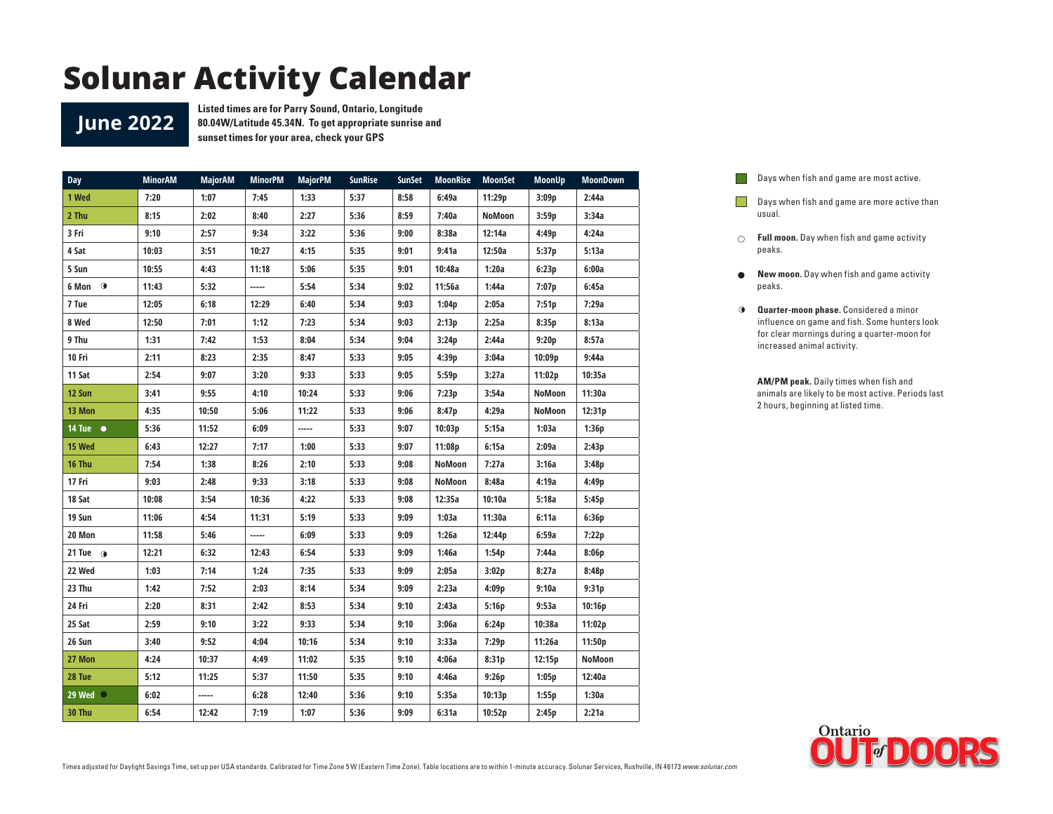**June 2022**

**Listed times are for Parry Sound, Ontario, Longitude 80.04W/Latitude 45.34N. To get appropriate sunrise and sunset times for your area, check your GPS**

| Day                | <b>MinorAM</b> | <b>MajorAM</b> | <b>MinorPM</b> | <b>MajorPM</b> | <b>SunRise</b> | <b>SunSet</b> | <b>MoonRise</b> | <b>MoonSet</b> | <b>MoonUp</b> | <b>MoonDown</b> |
|--------------------|----------------|----------------|----------------|----------------|----------------|---------------|-----------------|----------------|---------------|-----------------|
| 1 Wed              | 7:20           | 1:07           | 7:45           | 1:33           | 5:37           | 8:58          | 6:49a           | 11:29p         | 3:09p         | 2:44a           |
| 2 Thu              | 8:15           | 2:02           | 8:40           | 2:27           | 5:36           | 8:59          | 7:40a           | <b>NoMoon</b>  | 3:59p         | 3:34a           |
| 3 Fri              | 9:10           | 2:57           | 9:34           | 3:22           | 5:36           | 9:00          | 8:38a           | 12:14a         | 4:49p         | 4:24a           |
| 4 Sat              | 10:03          | 3:51           | 10:27          | 4:15           | 5:35           | 9:01          | 9:41a           | 12:50a         | 5:37p         | 5:13a           |
| 5 Sun              | 10:55          | 4:43           | 11:18          | 5:06           | 5:35           | 9:01          | 10:48a          | 1:20a          | 6:23p         | 6:00a           |
| 6 Mon <sup>o</sup> | 11:43          | 5:32           | -----          | 5:54           | 5:34           | 9:02          | 11:56a          | 1:44a          | 7:07p         | 6:45a           |
| 7 Tue              | 12:05          | 6:18           | 12:29          | 6:40           | 5:34           | 9:03          | 1:04p           | 2:05a          | 7:51p         | 7:29a           |
| 8 Wed              | 12:50          | 7:01           | 1:12           | 7:23           | 5:34           | 9:03          | 2:13p           | 2:25a          | 8:35p         | 8:13a           |
| 9 Thu              | 1:31           | 7:42           | 1:53           | 8:04           | 5:34           | 9:04          | 3:24p           | 2:44a          | 9:20p         | 8:57a           |
| 10 Fri             | 2:11           | 8:23           | 2:35           | 8:47           | 5:33           | 9:05          | 4:39p           | 3:04a          | 10:09p        | 9:44a           |
| 11 Sat             | 2:54           | 9:07           | 3:20           | 9:33           | 5:33           | 9:05          | 5:59p           | 3:27a          | 11:02p        | 10:35a          |
| 12 Sun             | 3:41           | 9:55           | 4:10           | 10:24          | 5:33           | 9:06          | 7:23p           | 3:54a          | <b>NoMoon</b> | 11:30a          |
| 13 Mon             | 4:35           | 10:50          | 5:06           | 11:22          | 5:33           | 9:06          | 8:47p           | 4:29a          | NoMoon        | 12:31p          |
| $14$ Tue $\bullet$ | 5:36           | 11:52          | 6:09           | -----          | 5:33           | 9:07          | 10:03p          | 5:15a          | 1:03a         | 1:36p           |
| 15 Wed             | 6:43           | 12:27          | 7:17           | 1:00           | 5:33           | 9:07          | 11:08p          | 6:15a          | 2:09a         | 2:43p           |
| 16 Thu             | 7:54           | 1:38           | 8:26           | 2:10           | 5:33           | 9:08          | NoMoon          | 7:27a          | 3:16a         | 3:48p           |
| 17 Fri             | 9:03           | 2:48           | 9:33           | 3:18           | 5:33           | 9:08          | NoMoon          | 8:48a          | 4:19a         | 4:49p           |
| 18 Sat             | 10:08          | 3:54           | 10:36          | 4:22           | 5:33           | 9:08          | 12:35a          | 10:10a         | 5:18a         | 5:45p           |
| 19 Sun             | 11:06          | 4:54           | 11:31          | 5:19           | 5:33           | 9:09          | 1:03a           | 11:30a         | 6:11a         | 6:36p           |
| 20 Mon             | 11:58          | 5:46           | -----          | 6:09           | 5:33           | 9:09          | 1:26a           | 12:44p         | 6:59a         | 7:22p           |
| 21 Tue $\omega$    | 12:21          | 6:32           | 12:43          | 6:54           | 5:33           | 9:09          | 1:46a           | 1:54p          | 7:44a         | 8:06p           |
| 22 Wed             | 1:03           | 7:14           | 1:24           | 7:35           | 5:33           | 9:09          | 2:05a           | 3:02p          | 8:27a         | 8:48p           |
| 23 Thu             | 1:42           | 7:52           | 2:03           | 8:14           | 5:34           | 9:09          | 2:23a           | 4:09p          | 9:10a         | 9:31p           |
| 24 Fri             | 2:20           | 8:31           | 2:42           | 8:53           | 5:34           | 9:10          | 2:43a           | 5:16p          | 9:53a         | 10:16p          |
| 25 Sat             | 2:59           | 9:10           | 3:22           | 9:33           | 5:34           | 9:10          | 3:06a           | 6:24p          | 10:38a        | 11:02p          |
| 26 Sun             | 3:40           | 9:52           | 4:04           | 10:16          | 5:34           | 9:10          | 3:33a           | 7:29p          | 11:26a        | 11:50p          |
| 27 Mon             | 4:24           | 10:37          | 4:49           | 11:02          | 5:35           | 9:10          | 4:06a           | 8:31p          | 12:15p        | NoMoon          |
| 28 Tue             | 5:12           | 11:25          | 5:37           | 11:50          | 5:35           | 9:10          | 4:46a           | 9:26p          | 1:05p         | 12:40a          |
| 29 Wed $\bigcirc$  | 6:02           | -----          | 6:28           | 12:40          | 5:36           | 9:10          | 5:35a           | 10:13p         | 1:55p         | 1:30a           |
| 30 Thu             | 6:54           | 12:42          | 7:19           | 1:07           | 5:36           | 9:09          | 6:31a           | 10:52p         | 2:45p         | 2:21a           |

Days when fish and game are most active.  $\Box$ 

- Days when fish and game are more active than usual.
- **Full moon.** Day when fish and game activity peaks.
- $\bullet$ **New moon.** Day when fish and game activity peaks.
- **Quarter-moon phase.** Considered a minor influence on game and fish. Some hunters look for clear mornings during a quarter-moon for increased animal activity.

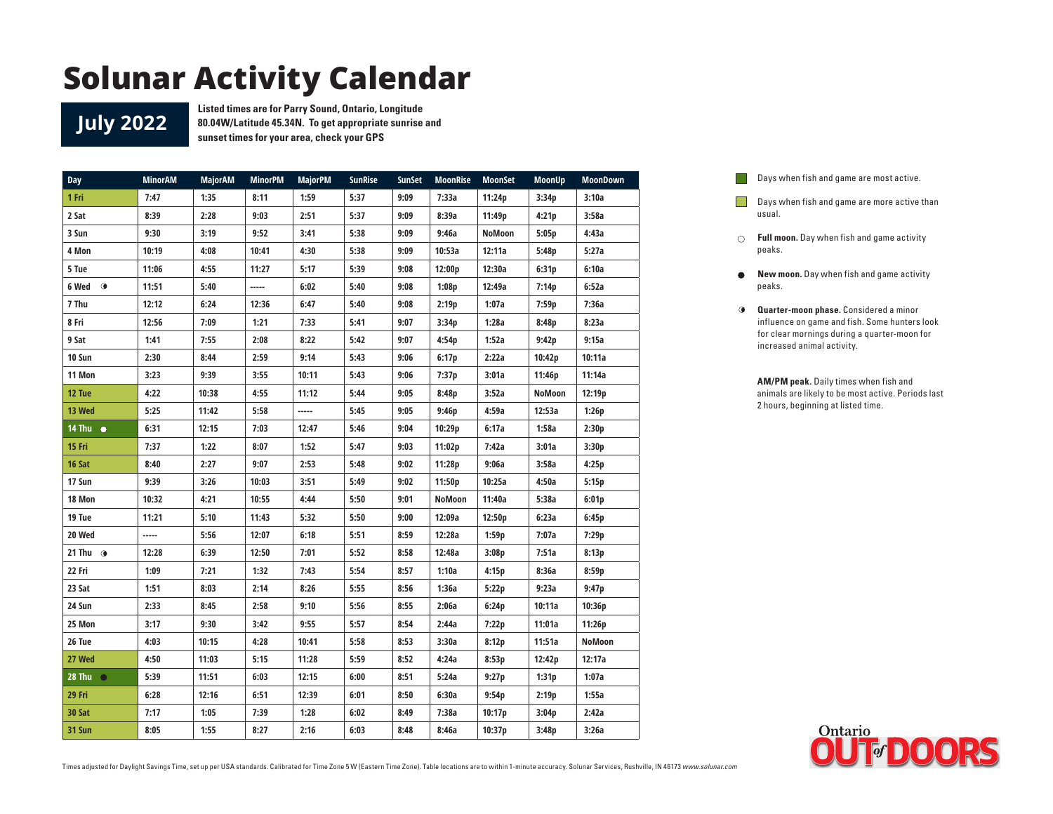**July 2022**

**Listed times are for Parry Sound, Ontario, Longitude 80.04W/Latitude 45.34N. To get appropriate sunrise and sunset times for your area, check your GPS**

| Day                | <b>MinorAM</b> | <b>MajorAM</b> | <b>MinorPM</b> | <b>MajorPM</b> | <b>SunRise</b> | <b>SunSet</b> | <b>MoonRise</b> | <b>MoonSet</b> | <b>MoonUp</b> | <b>MoonDown</b> |
|--------------------|----------------|----------------|----------------|----------------|----------------|---------------|-----------------|----------------|---------------|-----------------|
| 1 Fri              | 7:47           | 1:35           | 8:11           | 1:59           | 5:37           | 9:09          | 7:33a           | 11:24p         | 3:34p         | 3:10a           |
| 2 Sat              | 8:39           | 2:28           | 9:03           | 2:51           | 5:37           | 9:09          | 8:39a           | 11:49p         | 4:21p         | 3:58a           |
| 3 Sun              | 9:30           | 3:19           | 9:52           | 3:41           | 5:38           | 9:09          | 9:46a           | <b>NoMoon</b>  | 5:05p         | 4:43a           |
| 4 Mon              | 10:19          | 4:08           | 10:41          | 4:30           | 5:38           | 9:09          | 10:53a          | 12:11a         | 5:48p         | 5:27a           |
| 5 Tue              | 11:06          | 4:55           | 11:27          | 5:17           | 5:39           | 9:08          | 12:00p          | 12:30a         | 6:31p         | 6:10a           |
| $\bullet$<br>6 Wed | 11:51          | 5:40           | -----          | 6:02           | 5:40           | 9:08          | 1:08p           | 12:49a         | 7:14p         | 6:52a           |
| 7 Thu              | 12:12          | 6:24           | 12:36          | 6:47           | 5:40           | 9:08          | 2:19p           | 1:07a          | 7:59p         | 7:36a           |
| 8 Fri              | 12:56          | 7:09           | 1:21           | 7:33           | 5:41           | 9:07          | 3:34p           | 1:28a          | 8:48p         | 8:23a           |
| 9 Sat              | 1:41           | 7:55           | 2:08           | 8:22           | 5:42           | 9:07          | 4:54p           | 1:52a          | 9:42p         | 9:15a           |
| 10 Sun             | 2:30           | 8:44           | 2:59           | 9:14           | 5:43           | 9:06          | 6:17p           | 2:22a          | 10:42p        | 10:11a          |
| 11 Mon             | 3:23           | 9:39           | 3:55           | 10:11          | 5:43           | 9:06          | 7:37p           | 3:01a          | 11:46p        | 11:14a          |
| 12 Tue             | 4:22           | 10:38          | 4:55           | 11:12          | 5:44           | 9:05          | 8:48p           | 3:52a          | NoMoon        | 12:19p          |
| 13 Wed             | 5:25           | 11:42          | 5:58           | -----          | 5:45           | 9:05          | 9:46p           | 4:59a          | 12:53a        | 1:26p           |
| 14 Thu $\bullet$   | 6:31           | 12:15          | 7:03           | 12:47          | 5:46           | 9:04          | 10:29p          | 6:17a          | 1:58a         | 2:30p           |
| 15 Fri             | 7:37           | 1:22           | 8:07           | 1:52           | 5:47           | 9:03          | 11:02p          | 7:42a          | 3:01a         | 3:30p           |
| 16 Sat             | 8:40           | 2:27           | 9:07           | 2:53           | 5:48           | 9:02          | 11:28p          | 9:06a          | 3:58a         | 4:25p           |
| 17 Sun             | 9:39           | 3:26           | 10:03          | 3:51           | 5:49           | 9:02          | 11:50p          | 10:25a         | 4:50a         | 5:15p           |
| 18 Mon             | 10:32          | 4:21           | 10:55          | 4:44           | 5:50           | 9:01          | NoMoon          | 11:40a         | 5:38a         | 6:01p           |
| 19 Tue             | 11:21          | 5:10           | 11:43          | 5:32           | 5:50           | 9:00          | 12:09a          | 12:50p         | 6:23a         | 6:45p           |
| 20 Wed             | -----          | 5:56           | 12:07          | 6:18           | 5:51           | 8:59          | 12:28a          | 1:59p          | 7:07a         | 7:29p           |
| 21 Thu $\odot$     | 12:28          | 6:39           | 12:50          | 7:01           | 5:52           | 8:58          | 12:48a          | 3:08p          | 7:51a         | 8:13p           |
| 22 Fri             | 1:09           | 7:21           | 1:32           | 7:43           | 5:54           | 8:57          | 1:10a           | 4:15p          | 8:36a         | 8:59p           |
| 23 Sat             | 1:51           | 8:03           | 2:14           | 8:26           | 5:55           | 8:56          | 1:36a           | 5:22p          | 9:23a         | 9:47p           |
| 24 Sun             | 2:33           | 8:45           | 2:58           | 9:10           | 5:56           | 8:55          | 2:06a           | 6:24p          | 10:11a        | 10:36p          |
| 25 Mon             | 3:17           | 9:30           | 3:42           | 9:55           | 5:57           | 8:54          | 2:44a           | 7:22p          | 11:01a        | 11:26p          |
| 26 Tue             | 4:03           | 10:15          | 4:28           | 10:41          | 5:58           | 8:53          | 3:30a           | 8:12p          | 11:51a        | NoMoon          |
| 27 Wed             | 4:50           | 11:03          | 5:15           | 11:28          | 5:59           | 8:52          | 4:24a           | 8:53p          | 12:42p        | 12:17a          |
| 28 Thu $\bigcirc$  | 5:39           | 11:51          | 6:03           | 12:15          | 6:00           | 8:51          | 5:24a           | 9:27p          | 1:31p         | 1:07a           |
| 29 Fri             | 6:28           | 12:16          | 6:51           | 12:39          | 6:01           | 8:50          | 6:30a           | 9:54p          | 2:19p         | 1:55a           |
| 30 Sat             | 7:17           | 1:05           | 7:39           | 1:28           | 6:02           | 8:49          | 7:38a           | 10:17p         | 3:04p         | 2:42a           |
| 31 Sun             | 8:05           | 1:55           | 8:27           | 2:16           | 6:03           | 8:48          | 8:46a           | 10:37p         | 3:48p         | 3:26a           |

Days when fish and game are most active.  $\Box$ **Days when fish and game are more active than** 

**Full moon.** Day when fish and game activity peaks.

usual.

- $\bullet$ **New moon.** Day when fish and game activity peaks.
- **Quarter-moon phase.** Considered a minor influence on game and fish. Some hunters look for clear mornings during a quarter-moon for increased animal activity.

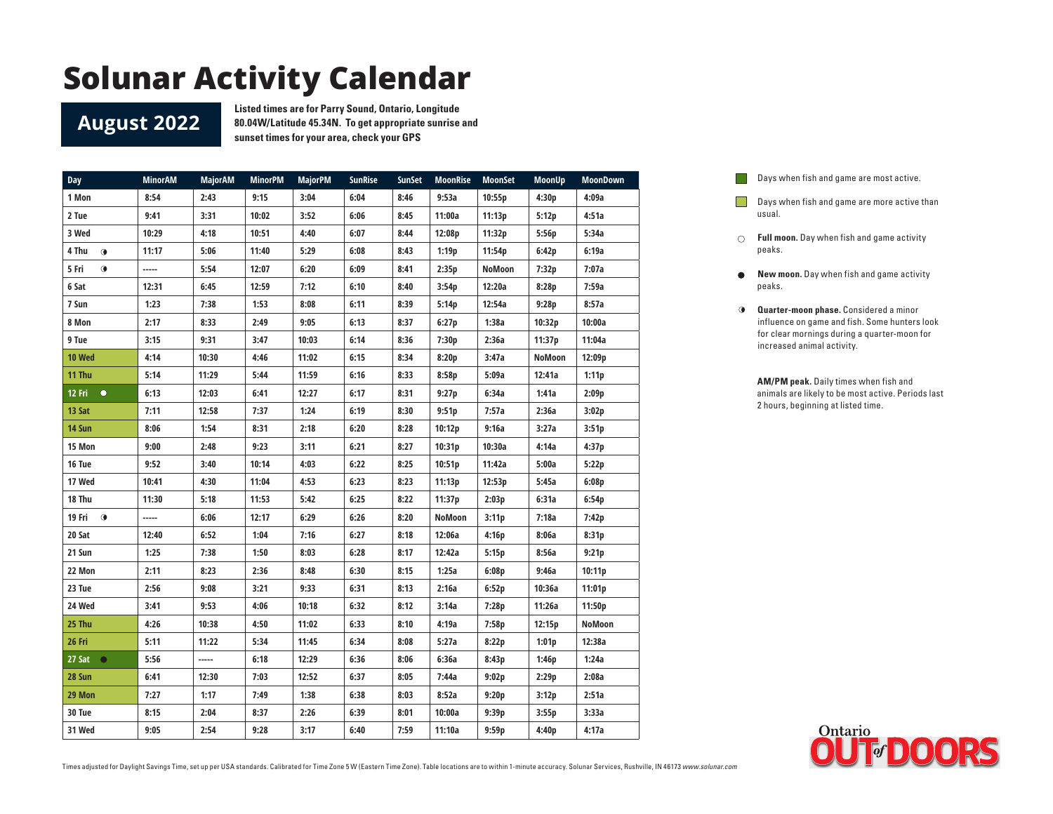#### **August 2022**

**Listed times are for Parry Sound, Ontario, Longitude 80.04W/Latitude 45.34N. To get appropriate sunrise and sunset times for your area, check your GPS**

| <b>Day</b>          | <b>MinorAM</b> | <b>MajorAM</b> | <b>MinorPM</b> | <b>MajorPM</b> | <b>SunRise</b> | <b>SunSet</b> | <b>MoonRise</b> | <b>MoonSet</b> | <b>MoonUp</b> | <b>MoonDown</b> |
|---------------------|----------------|----------------|----------------|----------------|----------------|---------------|-----------------|----------------|---------------|-----------------|
| 1 Mon               | 8:54           | 2:43           | 9:15           | 3:04           | 6:04           | 8:46          | 9:53a           | 10:55p         | 4:30p         | 4:09a           |
| 2 Tue               | 9:41           | 3:31           | 10:02          | 3:52           | 6:06           | 8:45          | 11:00a          | 11:13p         | 5:12p         | 4:51a           |
| 3 Wed               | 10:29          | 4:18           | 10:51          | 4:40           | 6:07           | 8:44          | 12:08p          | 11:32p         | 5:56p         | 5:34a           |
| 4 Thu<br>$\bullet$  | 11:17          | 5:06           | 11:40          | 5:29           | 6:08           | 8:43          | 1:19p           | 11:54p         | 6:42p         | 6:19a           |
| 5 Fri<br>$\bullet$  | -----          | 5:54           | 12:07          | 6:20           | 6:09           | 8:41          | 2:35p           | NoMoon         | 7:32p         | 7:07a           |
| 6 Sat               | 12:31          | 6:45           | 12:59          | 7:12           | 6:10           | 8:40          | 3:54p           | 12:20a         | 8:28p         | 7:59a           |
| 7 Sun               | 1:23           | 7:38           | 1:53           | 8:08           | 6:11           | 8:39          | 5:14p           | 12:54a         | 9:28p         | 8:57a           |
| 8 Mon               | 2:17           | 8:33           | 2:49           | 9:05           | 6:13           | 8:37          | 6:27p           | 1:38a          | 10:32p        | 10:00a          |
| 9 Tue               | 3:15           | 9:31           | 3:47           | 10:03          | 6:14           | 8:36          | 7:30p           | 2:36a          | 11:37p        | 11:04a          |
| 10 Wed              | 4:14           | 10:30          | 4:46           | 11:02          | 6:15           | 8:34          | 8:20p           | 3:47a          | <b>NoMoon</b> | 12:09p          |
| 11 Thu              | 5:14           | 11:29          | 5:44           | 11:59          | 6:16           | 8:33          | 8:58p           | 5:09a          | 12:41a        | 1:11p           |
| 12 Fri<br>$\bullet$ | 6:13           | 12:03          | 6:41           | 12:27          | 6:17           | 8:31          | 9:27p           | 6:34a          | 1:41a         | 2:09p           |
| 13 Sat              | 7:11           | 12:58          | 7:37           | 1:24           | 6:19           | 8:30          | 9:51p           | 7:57a          | 2:36a         | 3:02p           |
| 14 Sun              | 8:06           | 1:54           | 8:31           | 2:18           | 6:20           | 8:28          | 10:12p          | 9:16a          | 3:27a         | 3:51p           |
| 15 Mon              | 9:00           | 2:48           | 9:23           | 3:11           | 6:21           | 8:27          | 10:31p          | 10:30a         | 4:14a         | 4:37p           |
| 16 Tue              | 9:52           | 3:40           | 10:14          | 4:03           | 6:22           | 8:25          | 10:51p          | 11:42a         | 5:00a         | 5:22p           |
| 17 Wed              | 10:41          | 4:30           | 11:04          | 4:53           | 6:23           | 8:23          | 11:13p          | 12:53p         | 5:45a         | 6:08p           |
| 18 Thu              | 11:30          | 5:18           | 11:53          | 5:42           | 6:25           | 8:22          | 11:37p          | 2:03p          | 6:31a         | 6:54p           |
| 19 Fri <b>O</b>     | -----          | 6:06           | 12:17          | 6:29           | 6:26           | 8:20          | <b>NoMoon</b>   | 3:11p          | 7:18a         | 7:42p           |
| 20 Sat              | 12:40          | 6:52           | 1:04           | 7:16           | 6:27           | 8:18          | 12:06a          | 4:16p          | 8:06a         | 8:31p           |
| 21 Sun              | 1:25           | 7:38           | 1:50           | 8:03           | 6:28           | 8:17          | 12:42a          | 5:15p          | 8:56a         | 9:21p           |
| 22 Mon              | 2:11           | 8:23           | 2:36           | 8:48           | 6:30           | 8:15          | 1:25a           | 6:08p          | 9:46a         | 10:11p          |
| 23 Tue              | 2:56           | 9:08           | 3:21           | 9:33           | 6:31           | 8:13          | 2:16a           | 6:52p          | 10:36a        | 11:01p          |
| 24 Wed              | 3:41           | 9:53           | 4:06           | 10:18          | 6:32           | 8:12          | 3:14a           | 7:28p          | 11:26a        | 11:50p          |
| 25 Thu              | 4:26           | 10:38          | 4:50           | 11:02          | 6:33           | 8:10          | 4:19a           | 7:58p          | 12:15p        | <b>NoMoon</b>   |
| 26 Fri              | 5:11           | 11:22          | 5:34           | 11:45          | 6:34           | 8:08          | 5:27a           | 8:22p          | 1:01p         | 12:38a          |
| 27 Sat $\bullet$    | 5:56           |                | 6:18           | 12:29          | 6:36           | 8:06          | 6:36a           | 8:43p          | 1:46p         | 1:24a           |
| 28 Sun              | 6:41           | 12:30          | 7:03           | 12:52          | 6:37           | 8:05          | 7:44a           | 9:02p          | 2:29p         | 2:08a           |
| 29 Mon              | 7:27           | 1:17           | 7:49           | 1:38           | 6:38           | 8:03          | 8:52a           | 9:20p          | 3:12p         | 2:51a           |
| 30 Tue              | 8:15           | 2:04           | 8:37           | 2:26           | 6:39           | 8:01          | 10:00a          | 9:39p          | 3:55p         | 3:33a           |
| 31 Wed              | 9:05           | 2:54           | 9:28           | 3:17           | 6:40           | 7:59          | 11:10a          | 9:59p          | 4:40p         | 4:17a           |
|                     |                |                |                |                |                |               |                 |                |               |                 |

Days when fish and game are most active.  $\Box$ **Days when fish and game are more active than** 

**Full moon.** Day when fish and game activity peaks.

usual.

- $\bullet$ **New moon.** Day when fish and game activity peaks.
- **Quarter-moon phase.** Considered a minor influence on game and fish. Some hunters look for clear mornings during a quarter-moon for increased animal activity.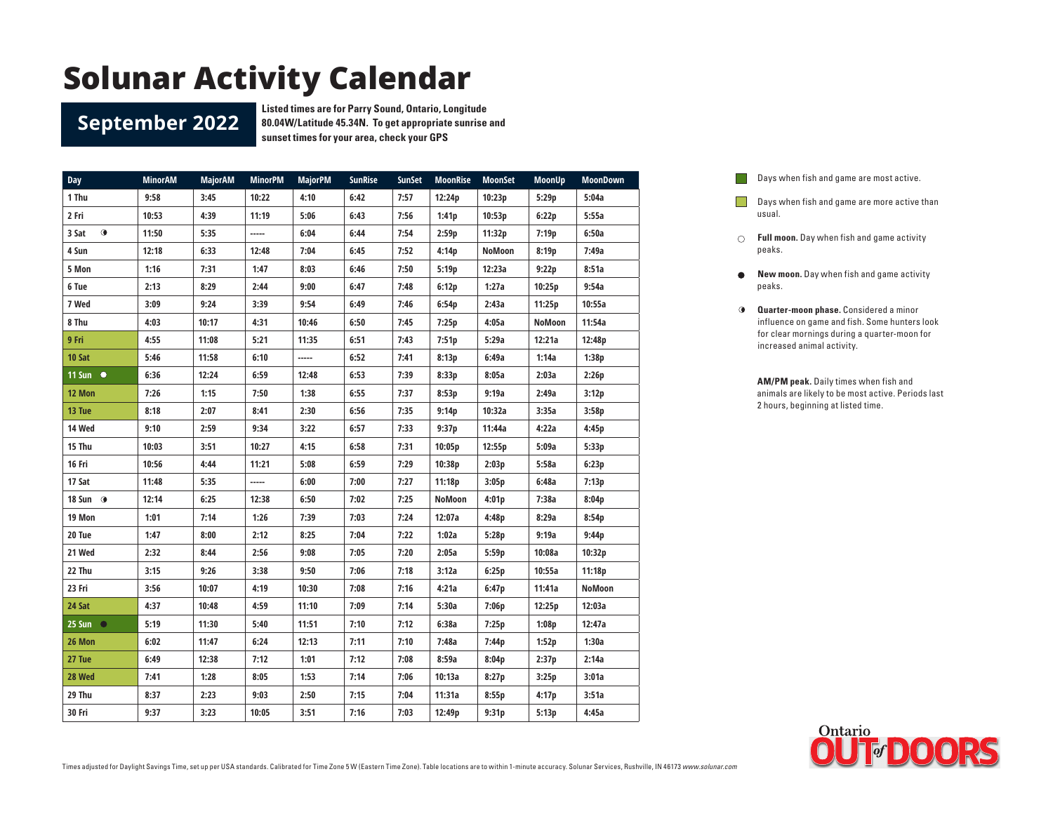#### **September 2022**

**Listed times are for Parry Sound, Ontario, Longitude 80.04W/Latitude 45.34N. To get appropriate sunrise and sunset times for your area, check your GPS**

| <b>Day</b>          | <b>MinorAM</b> | <b>MajorAM</b> | <b>MinorPM</b> | <b>MajorPM</b> | <b>SunRise</b> | <b>SunSet</b> | <b>MoonRise</b> | <b>MoonSet</b> | <b>MoonUp</b> | <b>MoonDown</b> |
|---------------------|----------------|----------------|----------------|----------------|----------------|---------------|-----------------|----------------|---------------|-----------------|
| 1 Thu               | 9:58           | 3:45           | 10:22          | 4:10           | 6:42           | 7:57          | 12:24p          | 10:23p         | 5:29p         | 5:04a           |
| 2 Fri               | 10:53          | 4:39           | 11:19          | 5:06           | 6:43           | 7:56          | 1:41p           | 10:53p         | 6:22p         | 5:55a           |
| $\bullet$<br>3 Sat  | 11:50          | 5:35           | -----          | 6:04           | 6:44           | 7:54          | 2:59p           | 11:32p         | 7:19p         | 6:50a           |
| 4 Sun               | 12:18          | 6:33           | 12:48          | 7:04           | 6:45           | 7:52          | 4:14p           | <b>NoMoon</b>  | 8:19p         | 7:49a           |
| 5 Mon               | 1:16           | 7:31           | 1:47           | 8:03           | 6:46           | 7:50          | 5:19p           | 12:23a         | 9:22p         | 8:51a           |
| 6 Tue               | 2:13           | 8:29           | 2:44           | 9:00           | 6:47           | 7:48          | 6:12p           | 1:27a          | 10:25p        | 9:54a           |
| 7 Wed               | 3:09           | 9:24           | 3:39           | 9:54           | 6:49           | 7:46          | 6:54p           | 2:43a          | 11:25p        | 10:55a          |
| 8 Thu               | 4:03           | 10:17          | 4:31           | 10:46          | 6:50           | 7:45          | 7:25p           | 4:05a          | NoMoon        | 11:54a          |
| 9 Fri               | 4:55           | 11:08          | 5:21           | 11:35          | 6:51           | 7:43          | 7:51p           | 5:29a          | 12:21a        | 12:48p          |
| 10 Sat              | 5:46           | 11:58          | 6:10           | -----          | 6:52           | 7:41          | 8:13p           | 6:49a          | 1:14a         | 1:38p           |
| $11$ Sun $\bullet$  | 6:36           | 12:24          | 6:59           | 12:48          | 6:53           | 7:39          | 8:33p           | 8:05a          | 2:03a         | 2:26p           |
| 12 Mon              | 7:26           | 1:15           | 7:50           | 1:38           | 6:55           | 7:37          | 8:53p           | 9:19a          | 2:49a         | 3:12p           |
| 13 Tue              | 8:18           | 2:07           | 8:41           | 2:30           | 6:56           | 7:35          | 9:14p           | 10:32a         | 3:35a         | 3:58p           |
| 14 Wed              | 9:10           | 2:59           | 9:34           | 3:22           | 6:57           | 7:33          | 9:37p           | 11:44a         | 4:22a         | 4:45p           |
| 15 Thu              | 10:03          | 3:51           | 10:27          | 4:15           | 6:58           | 7:31          | 10:05p          | 12:55p         | 5:09a         | 5:33p           |
| 16 Fri              | 10:56          | 4:44           | 11:21          | 5:08           | 6:59           | 7:29          | 10:38p          | 2:03p          | 5:58a         | 6:23p           |
| 17 Sat              | 11:48          | 5:35           | -----          | 6:00           | 7:00           | 7:27          | 11:18p          | 3:05p          | 6:48a         | 7:13p           |
| 18 Sun $\odot$      | 12:14          | 6:25           | 12:38          | 6:50           | 7:02           | 7:25          | NoMoon          | 4:01p          | 7:38a         | 8:04p           |
| 19 Mon              | 1:01           | 7:14           | 1:26           | 7:39           | 7:03           | 7:24          | 12:07a          | 4:48p          | 8:29a         | 8:54p           |
| 20 Tue              | 1:47           | 8:00           | 2:12           | 8:25           | 7:04           | 7:22          | 1:02a           | 5:28p          | 9:19a         | 9:44p           |
| 21 Wed              | 2:32           | 8:44           | 2:56           | 9:08           | 7:05           | 7:20          | 2:05a           | 5:59p          | 10:08a        | 10:32p          |
| 22 Thu              | 3:15           | 9:26           | 3:38           | 9:50           | 7:06           | 7:18          | 3:12a           | 6:25p          | 10:55a        | 11:18p          |
| 23 Fri              | 3:56           | 10:07          | 4:19           | 10:30          | 7:08           | 7:16          | 4:21a           | 6:47p          | 11:41a        | NoMoon          |
| 24 Sat              | 4:37           | 10:48          | 4:59           | 11:10          | 7:09           | 7:14          | 5:30a           | 7:06p          | 12:25p        | 12:03a          |
| $25$ Sun $\bigcirc$ | 5:19           | 11:30          | 5:40           | 11:51          | 7:10           | 7:12          | 6:38a           | 7:25p          | 1:08p         | 12:47a          |
| 26 Mon              | 6:02           | 11:47          | 6:24           | 12:13          | 7:11           | 7:10          | 7:48a           | 7:44p          | 1:52p         | 1:30a           |
| 27 Tue              | 6:49           | 12:38          | 7:12           | 1:01           | 7:12           | 7:08          | 8:59a           | 8:04p          | 2:37p         | 2:14a           |
| 28 Wed              | 7:41           | 1:28           | 8:05           | 1:53           | 7:14           | 7:06          | 10:13a          | 8:27p          | 3:25p         | 3:01a           |
| 29 Thu              | 8:37           | 2:23           | 9:03           | 2:50           | 7:15           | 7:04          | 11:31a          | 8:55p          | 4:17p         | 3:51a           |
| 30 Fri              | 9:37           | 3:23           | 10:05          | 3:51           | 7:16           | 7:03          | 12:49p          | 9:31p          | 5:13p         | 4:45a           |

Days when fish and game are most active.  $\overline{a}$ 

- **Days when fish and game are more active than** usual.
- **Full moon.** Day when fish and game activity peaks.
- **New moon.** Day when fish and game activity  $\bullet$ peaks.
- **Quarter-moon phase.** Considered a minor influence on game and fish. Some hunters look for clear mornings during a quarter-moon for increased animal activity.

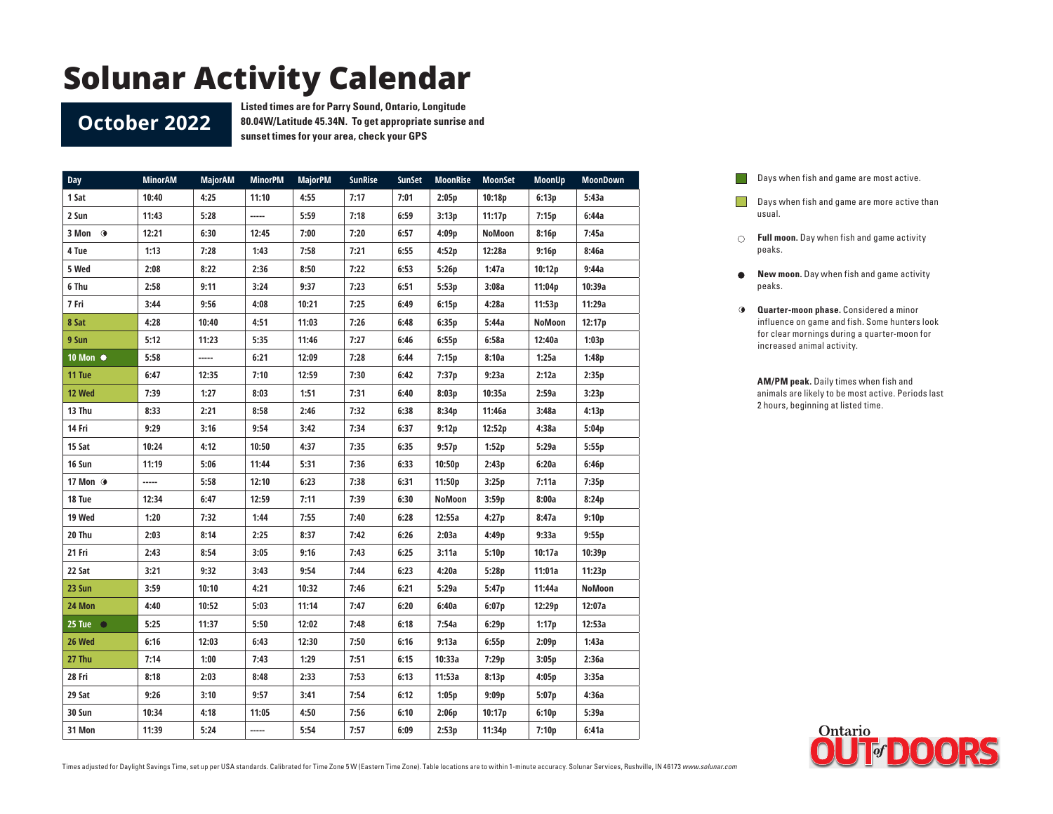#### **October 2022**

**Listed times are for Parry Sound, Ontario, Longitude 80.04W/Latitude 45.34N. To get appropriate sunrise and sunset times for your area, check your GPS**

| <b>Day</b>        | <b>MinorAM</b> | <b>MajorAM</b> | <b>MinorPM</b> | <b>MajorPM</b> | <b>SunRise</b> | <b>SunSet</b> | <b>MoonRise</b> | <b>MoonSet</b> | <b>MoonUp</b> | <b>MoonDown</b> |
|-------------------|----------------|----------------|----------------|----------------|----------------|---------------|-----------------|----------------|---------------|-----------------|
| 1 Sat             | 10:40          | 4:25           | 11:10          | 4:55           | 7:17           | 7:01          | 2:05p           | 10:18p         | 6:13p         | 5:43a           |
| 2 Sun             | 11:43          | 5:28           | -----          | 5:59           | 7:18           | 6:59          | 3:13p           | 11:17p         | 7:15p         | 6:44a           |
| $3$ Mon $\odot$   | 12:21          | 6:30           | 12:45          | 7:00           | 7:20           | 6:57          | 4:09p           | NoMoon         | 8:16p         | 7:45a           |
| 4 Tue             | 1:13           | 7:28           | 1:43           | 7:58           | 7:21           | 6:55          | 4:52p           | 12:28a         | 9:16p         | 8:46a           |
| 5 Wed             | 2:08           | 8:22           | 2:36           | 8:50           | 7:22           | 6:53          | 5:26p           | 1:47a          | 10:12p        | 9:44a           |
| 6 Thu             | 2:58           | 9:11           | 3:24           | 9:37           | 7:23           | 6:51          | 5:53p           | 3:08a          | 11:04p        | 10:39a          |
| 7 Fri             | 3:44           | 9:56           | 4:08           | 10:21          | 7:25           | 6:49          | 6:15p           | 4:28a          | 11:53p        | 11:29a          |
| 8 Sat             | 4:28           | 10:40          | 4:51           | 11:03          | 7:26           | 6:48          | 6:35p           | 5:44a          | NoMoon        | 12:17p          |
| 9 Sun             | 5:12           | 11:23          | 5:35           | 11:46          | 7:27           | 6:46          | 6:55p           | 6:58a          | 12:40a        | 1:03p           |
| 10 Mon ●          | 5:58           |                | 6:21           | 12:09          | 7:28           | 6:44          | 7:15p           | 8:10a          | 1:25a         | 1:48p           |
| 11 Tue            | 6:47           | 12:35          | 7:10           | 12:59          | 7:30           | 6:42          | 7:37p           | 9:23a          | 2:12a         | 2:35p           |
| 12 Wed            | 7:39           | 1:27           | 8:03           | 1:51           | 7:31           | 6:40          | 8:03p           | 10:35a         | 2:59a         | 3:23p           |
| 13 Thu            | 8:33           | 2:21           | 8:58           | 2:46           | 7:32           | 6:38          | 8:34p           | 11:46a         | 3:48a         | 4:13p           |
| 14 Fri            | 9:29           | 3:16           | 9:54           | 3:42           | 7:34           | 6:37          | 9:12p           | 12:52p         | 4:38a         | 5:04p           |
| 15 Sat            | 10:24          | 4:12           | 10:50          | 4:37           | 7:35           | 6:35          | 9:57p           | 1:52p          | 5:29a         | 5:55p           |
| 16 Sun            | 11:19          | 5:06           | 11:44          | 5:31           | 7:36           | 6:33          | 10:50p          | 2:43p          | 6:20a         | 6:46p           |
| 17 Mon <b>O</b>   | -----          | 5:58           | 12:10          | 6:23           | 7:38           | 6:31          | 11:50p          | 3:25p          | 7:11a         | 7:35p           |
| 18 Tue            | 12:34          | 6:47           | 12:59          | 7:11           | 7:39           | 6:30          | NoMoon          | 3:59p          | 8:00a         | 8:24p           |
| 19 Wed            | 1:20           | 7:32           | 1:44           | 7:55           | 7:40           | 6:28          | 12:55a          | 4:27p          | 8:47a         | 9:10p           |
| 20 Thu            | 2:03           | 8:14           | 2:25           | 8:37           | 7:42           | 6:26          | 2:03a           | 4:49p          | 9:33a         | 9:55p           |
| 21 Fri            | 2:43           | 8:54           | 3:05           | 9:16           | 7:43           | 6:25          | 3:11a           | 5:10p          | 10:17a        | 10:39p          |
| 22 Sat            | 3:21           | 9:32           | 3:43           | 9:54           | 7:44           | 6:23          | 4:20a           | 5:28p          | 11:01a        | 11:23p          |
| 23 Sun            | 3:59           | 10:10          | 4:21           | 10:32          | 7:46           | 6:21          | 5:29a           | 5:47p          | 11:44a        | NoMoon          |
| 24 Mon            | 4:40           | 10:52          | 5:03           | 11:14          | 7:47           | 6:20          | 6:40a           | 6:07p          | 12:29p        | 12:07a          |
| 25 Tue $\bigcirc$ | 5:25           | 11:37          | 5:50           | 12:02          | 7:48           | 6:18          | 7:54a           | 6:29p          | 1:17p         | 12:53a          |
| 26 Wed            | 6:16           | 12:03          | 6:43           | 12:30          | 7:50           | 6:16          | 9:13a           | 6:55p          | 2:09p         | 1:43a           |
| 27 Thu            | 7:14           | 1:00           | 7:43           | 1:29           | 7:51           | 6:15          | 10:33a          | 7:29p          | 3:05p         | 2:36a           |
| 28 Fri            | 8:18           | 2:03           | 8:48           | 2:33           | 7:53           | 6:13          | 11:53a          | 8:13p          | 4:05p         | 3:35a           |
| 29 Sat            | 9:26           | 3:10           | 9:57           | 3:41           | 7:54           | 6:12          | 1:05p           | 9:09p          | 5:07p         | 4:36a           |
| 30 Sun            | 10:34          | 4:18           | 11:05          | 4:50           | 7:56           | 6:10          | 2:06p           | 10:17p         | 6:10p         | 5:39a           |
| 31 Mon            | 11:39          | 5:24           | -----          | 5:54           | 7:57           | 6:09          | 2:53p           | 11:34p         | 7:10p         | 6:41a           |
|                   |                |                |                |                |                |               |                 |                |               |                 |

Days when fish and game are most active.  $\Box$ 

- **Days when fish and game are more active than** usual.
- **Full moon.** Day when fish and game activity peaks.
- $\bullet$ **New moon.** Day when fish and game activity peaks.
- **Quarter-moon phase.** Considered a minor influence on game and fish. Some hunters look for clear mornings during a quarter-moon for increased animal activity.

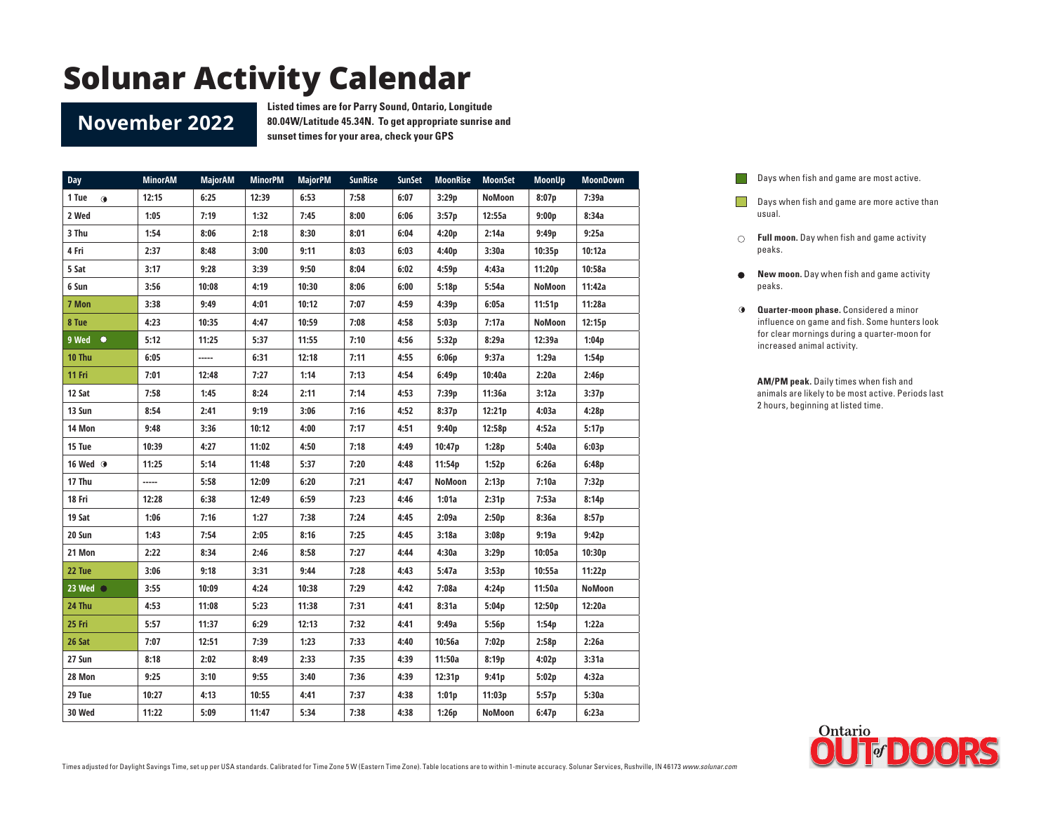#### **November 2022**

**Listed times are for Parry Sound, Ontario, Longitude 80.04W/Latitude 45.34N. To get appropriate sunrise and sunset times for your area, check your GPS**

| Day                | <b>MinorAM</b> | <b>MajorAM</b> | <b>MinorPM</b> | <b>MajorPM</b> | <b>SunRise</b> | <b>SunSet</b> | <b>MoonRise</b> | <b>MoonSet</b> | <b>MoonUp</b> | <b>MoonDown</b> |
|--------------------|----------------|----------------|----------------|----------------|----------------|---------------|-----------------|----------------|---------------|-----------------|
| 1 Tue<br>$\bullet$ | 12:15          | 6:25           | 12:39          | 6:53           | 7:58           | 6:07          | 3:29p           | <b>NoMoon</b>  | 8:07p         | 7:39a           |
| 2 Wed              | 1:05           | 7:19           | 1:32           | 7:45           | 8:00           | 6:06          | 3:57p           | 12:55a         | 9:00p         | 8:34a           |
| 3 Thu              | 1:54           | 8:06           | 2:18           | 8:30           | 8:01           | 6:04          | 4:20p           | 2:14a          | 9:49p         | 9:25a           |
| 4 Fri              | 2:37           | 8:48           | 3:00           | 9:11           | 8:03           | 6:03          | 4:40p           | 3:30a          | 10:35p        | 10:12a          |
| 5 Sat              | 3:17           | 9:28           | 3:39           | 9:50           | 8:04           | 6:02          | 4:59p           | 4:43a          | 11:20p        | 10:58a          |
| 6 Sun              | 3:56           | 10:08          | 4:19           | 10:30          | 8:06           | 6:00          | 5:18p           | 5:54a          | NoMoon        | 11:42a          |
| 7 Mon              | 3:38           | 9:49           | 4:01           | 10:12          | 7:07           | 4:59          | 4:39p           | 6:05a          | 11:51p        | 11:28a          |
| 8 Tue              | 4:23           | 10:35          | 4:47           | 10:59          | 7:08           | 4:58          | 5:03p           | 7:17a          | NoMoon        | 12:15p          |
| 9 Wed<br>$\bullet$ | 5:12           | 11:25          | 5:37           | 11:55          | 7:10           | 4:56          | 5:32p           | 8:29a          | 12:39a        | 1:04p           |
| 10 Thu             | 6:05           | -----          | 6:31           | 12:18          | 7:11           | 4:55          | 6:06p           | 9:37a          | 1:29a         | 1:54p           |
| 11 Fri             | 7:01           | 12:48          | 7:27           | 1:14           | 7:13           | 4:54          | 6:49p           | 10:40a         | 2:20a         | 2:46p           |
| 12 Sat             | 7:58           | 1:45           | 8:24           | 2:11           | 7:14           | 4:53          | 7:39p           | 11:36a         | 3:12a         | 3:37p           |
| 13 Sun             | 8:54           | 2:41           | 9:19           | 3:06           | 7:16           | 4:52          | 8:37p           | 12:21p         | 4:03a         | 4:28p           |
| 14 Mon             | 9:48           | 3:36           | 10:12          | 4:00           | 7:17           | 4:51          | 9:40p           | 12:58p         | 4:52a         | 5:17p           |
| 15 Tue             | 10:39          | 4:27           | 11:02          | 4:50           | 7:18           | 4:49          | 10:47p          | 1:28p          | 5:40a         | 6:03p           |
| 16 Wed <b>O</b>    | 11:25          | 5:14           | 11:48          | 5:37           | 7:20           | 4:48          | 11:54p          | 1:52p          | 6:26a         | 6:48p           |
| 17 Thu             | -----          | 5:58           | 12:09          | 6:20           | 7:21           | 4:47          | <b>NoMoon</b>   | 2:13p          | 7:10a         | 7:32p           |
| 18 Fri             | 12:28          | 6:38           | 12:49          | 6:59           | 7:23           | 4:46          | 1:01a           | 2:31p          | 7:53a         | 8:14p           |
| 19 Sat             | 1:06           | 7:16           | 1:27           | 7:38           | 7:24           | 4:45          | 2:09a           | 2:50p          | 8:36a         | 8:57p           |
| 20 Sun             | 1:43           | 7:54           | 2:05           | 8:16           | 7:25           | 4:45          | 3:18a           | 3:08p          | 9:19a         | 9:42p           |
| 21 Mon             | 2:22           | 8:34           | 2:46           | 8:58           | 7:27           | 4:44          | 4:30a           | 3:29p          | 10:05a        | 10:30p          |
| 22 Tue             | 3:06           | 9:18           | 3:31           | 9:44           | 7:28           | 4:43          | 5:47a           | 3:53p          | 10:55a        | 11:22p          |
| 23 Wed $\bigcirc$  | 3:55           | 10:09          | 4:24           | 10:38          | 7:29           | 4:42          | 7:08a           | 4:24p          | 11:50a        | <b>NoMoon</b>   |
| 24 Thu             | 4:53           | 11:08          | 5:23           | 11:38          | 7:31           | 4:41          | 8:31a           | 5:04p          | 12:50p        | 12:20a          |
| 25 Fri             | 5:57           | 11:37          | 6:29           | 12:13          | 7:32           | 4:41          | 9:49a           | 5:56p          | 1:54p         | 1:22a           |
| 26 Sat             | 7:07           | 12:51          | 7:39           | 1:23           | 7:33           | 4:40          | 10:56a          | 7:02p          | 2:58p         | 2:26a           |
| 27 Sun             | 8:18           | 2:02           | 8:49           | 2:33           | 7:35           | 4:39          | 11:50a          | 8:19p          | 4:02p         | 3:31a           |
| 28 Mon             | 9:25           | 3:10           | 9:55           | 3:40           | 7:36           | 4:39          | 12:31p          | 9:41p          | 5:02p         | 4:32a           |
| 29 Tue             | 10:27          | 4:13           | 10:55          | 4:41           | 7:37           | 4:38          | 1:01p           | 11:03p         | 5:57p         | 5:30a           |
| 30 Wed             | 11:22          | 5:09           | 11:47          | 5:34           | 7:38           | 4:38          | 1:26p           | NoMoon         | 6:47p         | 6:23a           |

Days when fish and game are most active.  $\overline{a}$ 

**Days when fish and game are more active than** usual.

- **Full moon.** Day when fish and game activity peaks.
- **New moon.** Day when fish and game activity  $\bullet$ peaks.
- **Quarter-moon phase.** Considered a minor influence on game and fish. Some hunters look for clear mornings during a quarter-moon for increased animal activity.